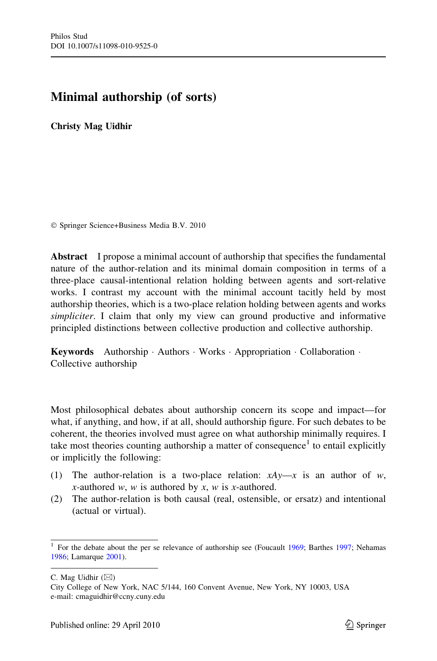# Minimal authorship (of sorts)

Christy Mag Uidhir

- Springer Science+Business Media B.V. 2010

Abstract I propose a minimal account of authorship that specifies the fundamental nature of the author-relation and its minimal domain composition in terms of a three-place causal-intentional relation holding between agents and sort-relative works. I contrast my account with the minimal account tacitly held by most authorship theories, which is a two-place relation holding between agents and works simpliciter. I claim that only my view can ground productive and informative principled distinctions between collective production and collective authorship.

Keywords Authorship Authors Works Appropriation Collaboration · Collective authorship

Most philosophical debates about authorship concern its scope and impact—for what, if anything, and how, if at all, should authorship figure. For such debates to be coherent, the theories involved must agree on what authorship minimally requires. I take most theories counting authorship a matter of consequence<sup>1</sup> to entail explicitly or implicitly the following:

- (1) The author-relation is a two-place relation:  $xAy-x$  is an author of w, x-authored w, w is authored by x, w is x-authored.
- (2) The author-relation is both causal (real, ostensible, or ersatz) and intentional (actual or virtual).

<sup>&</sup>lt;sup>1</sup> For the debate about the per se relevance of authorship see (Foucault [1969](#page-14-0); Barthes [1997;](#page-13-0) Nehamas [1986;](#page-14-0) Lamarque [2001\)](#page-14-0).

C. Mag Uidhir  $(\boxtimes)$ 

City College of New York, NAC 5/144, 160 Convent Avenue, New York, NY 10003, USA e-mail: cmaguidhir@ccny.cuny.edu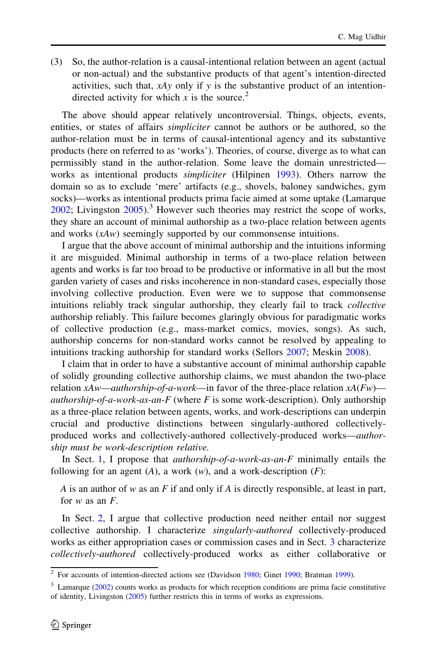(3) So, the author-relation is a causal-intentional relation between an agent (actual or non-actual) and the substantive products of that agent's intention-directed activities, such that,  $xAy$  only if y is the substantive product of an intentiondirected activity for which x is the source.<sup>2</sup>

The above should appear relatively uncontroversial. Things, objects, events, entities, or states of affairs simpliciter cannot be authors or be authored, so the author-relation must be in terms of causal-intentional agency and its substantive products (here on referred to as 'works'). Theories, of course, diverge as to what can permissibly stand in the author-relation. Some leave the domain unrestricted works as intentional products simpliciter (Hilpinen [1993\)](#page-14-0). Others narrow the domain so as to exclude 'mere' artifacts (e.g., shovels, baloney sandwiches, gym socks)—works as intentional products prima facie aimed at some uptake (Lamarque  $2002$ ; Livingston  $2005$ ).<sup>3</sup> However such theories may restrict the scope of works, they share an account of minimal authorship as a two-place relation between agents and works (xAw) seemingly supported by our commonsense intuitions.

I argue that the above account of minimal authorship and the intuitions informing it are misguided. Minimal authorship in terms of a two-place relation between agents and works is far too broad to be productive or informative in all but the most garden variety of cases and risks incoherence in non-standard cases, especially those involving collective production. Even were we to suppose that commonsense intuitions reliably track singular authorship, they clearly fail to track collective authorship reliably. This failure becomes glaringly obvious for paradigmatic works of collective production (e.g., mass-market comics, movies, songs). As such, authorship concerns for non-standard works cannot be resolved by appealing to intuitions tracking authorship for standard works (Sellors [2007](#page-14-0); Meskin [2008](#page-14-0)).

I claim that in order to have a substantive account of minimal authorship capable of solidly grounding collective authorship claims, we must abandon the two-place relation xAw—authorship-of-a-work—in favor of the three-place relation  $xA(Fw)$  *authorship-of-a-work-as-an-F* (where F is some work-description). Only authorship as a three-place relation between agents, works, and work-descriptions can underpin crucial and productive distinctions between singularly-authored collectivelyproduced works and collectively-authored collectively-produced works—authorship must be work-description relative.

In Sect. [1](#page-2-0), I propose that *authorship-of-a-work-as-an-F* minimally entails the following for an agent  $(A)$ , a work  $(w)$ , and a work-description  $(F)$ :

A is an author of w as an F if and only if A is directly responsible, at least in part, for  $w$  as an  $F$ .

In Sect. [2](#page-4-0), I argue that collective production need neither entail nor suggest collective authorship. I characterize singularly-authored collectively-produced works as either appropriation cases or commission cases and in Sect. [3](#page-9-0) characterize collectively-authored collectively-produced works as either collaborative or

<sup>&</sup>lt;sup>2</sup> For accounts of intention-directed actions see (Davidson [1980;](#page-14-0) Ginet [1990;](#page-14-0) Bratman [1999\)](#page-13-0).

<sup>&</sup>lt;sup>3</sup> Lamarque [\(2002](#page-14-0)) counts works as products for which reception conditions are prima facie constitutive of identity, Livingston [\(2005](#page-14-0)) further restricts this in terms of works as expressions.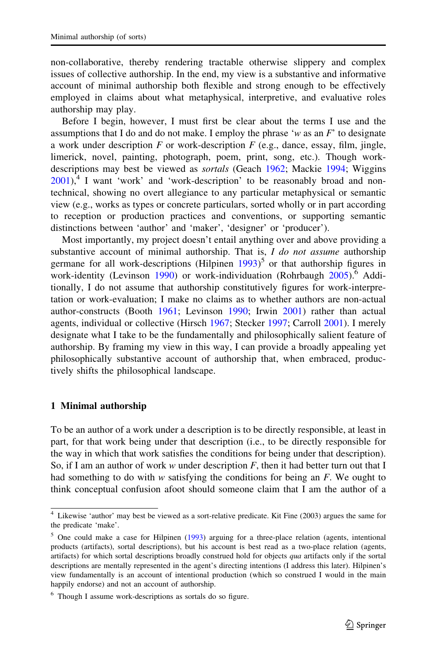<span id="page-2-0"></span>non-collaborative, thereby rendering tractable otherwise slippery and complex issues of collective authorship. In the end, my view is a substantive and informative account of minimal authorship both flexible and strong enough to be effectively employed in claims about what metaphysical, interpretive, and evaluative roles authorship may play.

Before I begin, however, I must first be clear about the terms I use and the assumptions that I do and do not make. I employ the phrase 'w as an  $F$ ' to designate a work under description F or work-description  $F$  (e.g., dance, essay, film, jingle, limerick, novel, painting, photograph, poem, print, song, etc.). Though workdescriptions may best be viewed as sortals (Geach [1962;](#page-14-0) Mackie [1994;](#page-14-0) Wiggins  $2001$ <sup>4</sup> I want 'work' and 'work-description' to be reasonably broad and nontechnical, showing no overt allegiance to any particular metaphysical or semantic view (e.g., works as types or concrete particulars, sorted wholly or in part according to reception or production practices and conventions, or supporting semantic distinctions between 'author' and 'maker', 'designer' or 'producer').

Most importantly, my project doesn't entail anything over and above providing a substantive account of minimal authorship. That is,  $I$  do not assume authorship germane for all work-descriptions (Hilpinen  $1993$ )<sup>5</sup> or that authorship figures in work-identity (Levinson [1990](#page-14-0)) or work-individuation (Rohrbaugh [2005\)](#page-14-0).<sup>6</sup> Additionally, I do not assume that authorship constitutively figures for work-interpretation or work-evaluation; I make no claims as to whether authors are non-actual author-constructs (Booth [1961;](#page-13-0) Levinson [1990](#page-14-0); Irwin [2001](#page-14-0)) rather than actual agents, individual or collective (Hirsch [1967;](#page-14-0) Stecker [1997](#page-14-0); Carroll [2001\)](#page-13-0). I merely designate what I take to be the fundamentally and philosophically salient feature of authorship. By framing my view in this way, I can provide a broadly appealing yet philosophically substantive account of authorship that, when embraced, productively shifts the philosophical landscape.

## 1 Minimal authorship

To be an author of a work under a description is to be directly responsible, at least in part, for that work being under that description (i.e., to be directly responsible for the way in which that work satisfies the conditions for being under that description). So, if I am an author of work w under description  $F$ , then it had better turn out that I had something to do with  $w$  satisfying the conditions for being an  $F$ . We ought to think conceptual confusion afoot should someone claim that I am the author of a

<sup>4</sup> Likewise 'author' may best be viewed as a sort-relative predicate. Kit Fine (2003) argues the same for the predicate 'make'.

<sup>&</sup>lt;sup>5</sup> One could make a case for Hilpinen [\(1993](#page-14-0)) arguing for a three-place relation (agents, intentional products (artifacts), sortal descriptions), but his account is best read as a two-place relation (agents, artifacts) for which sortal descriptions broadly construed hold for objects qua artifacts only if the sortal descriptions are mentally represented in the agent's directing intentions (I address this later). Hilpinen's view fundamentally is an account of intentional production (which so construed I would in the main happily endorse) and not an account of authorship.

<sup>&</sup>lt;sup>6</sup> Though I assume work-descriptions as sortals do so figure.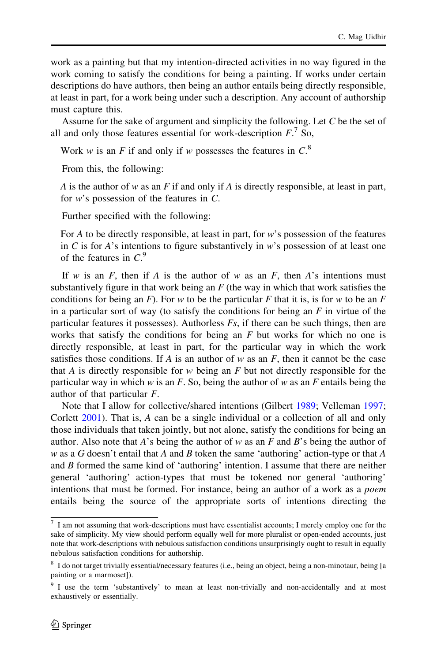work as a painting but that my intention-directed activities in no way figured in the work coming to satisfy the conditions for being a painting. If works under certain descriptions do have authors, then being an author entails being directly responsible, at least in part, for a work being under such a description. Any account of authorship must capture this.

Assume for the sake of argument and simplicity the following. Let C be the set of all and only those features essential for work-description  $F^7$ . So,

Work w is an F if and only if w possesses the features in  $C^8$ .

From this, the following:

A is the author of w as an F if and only if A is directly responsible, at least in part, for w's possession of the features in C.

Further specified with the following:

For A to be directly responsible, at least in part, for  $w$ 's possession of the features in C is for A's intentions to figure substantively in  $w$ 's possession of at least one of the features in  $C^9$ .

If w is an  $F$ , then if  $A$  is the author of w as an  $F$ , then  $A$ 's intentions must substantively figure in that work being an  $F$  (the way in which that work satisfies the conditions for being an F). For w to be the particular F that it is, is for w to be an F in a particular sort of way (to satisfy the conditions for being an  $F$  in virtue of the particular features it possesses). Authorless  $Fs$ , if there can be such things, then are works that satisfy the conditions for being an  $F$  but works for which no one is directly responsible, at least in part, for the particular way in which the work satisfies those conditions. If A is an author of  $w$  as an  $F$ , then it cannot be the case that A is directly responsible for w being an F but not directly responsible for the particular way in which  $w$  is an  $F$ . So, being the author of  $w$  as an  $F$  entails being the author of that particular F.

Note that I allow for collective/shared intentions (Gilbert [1989;](#page-14-0) Velleman [1997;](#page-14-0) Corlett [2001](#page-14-0)). That is, A can be a single individual or a collection of all and only those individuals that taken jointly, but not alone, satisfy the conditions for being an author. Also note that A's being the author of w as an  $F$  and  $B$ 's being the author of w as a G doesn't entail that A and B token the same 'authoring' action-type or that A and  $B$  formed the same kind of 'authoring' intention. I assume that there are neither general 'authoring' action-types that must be tokened nor general 'authoring' intentions that must be formed. For instance, being an author of a work as a poem entails being the source of the appropriate sorts of intentions directing the

 $7$  I am not assuming that work-descriptions must have essentialist accounts; I merely employ one for the sake of simplicity. My view should perform equally well for more pluralist or open-ended accounts, just note that work-descriptions with nebulous satisfaction conditions unsurprisingly ought to result in equally nebulous satisfaction conditions for authorship.

<sup>8</sup> I do not target trivially essential/necessary features (i.e., being an object, being a non-minotaur, being [a painting or a marmoset]).

<sup>&</sup>lt;sup>9</sup> I use the term 'substantively' to mean at least non-trivially and non-accidentally and at most exhaustively or essentially.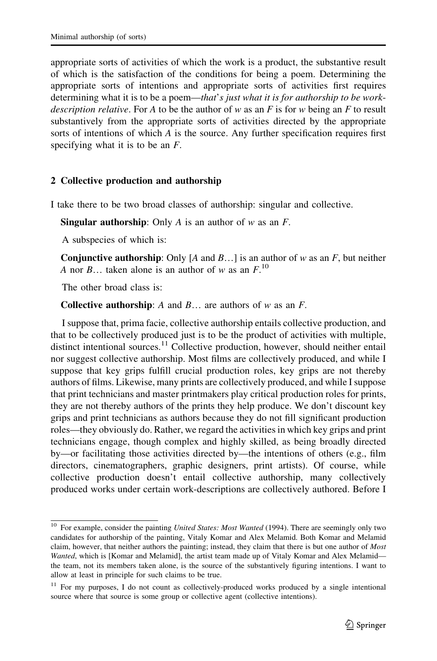<span id="page-4-0"></span>appropriate sorts of activities of which the work is a product, the substantive result of which is the satisfaction of the conditions for being a poem. Determining the appropriate sorts of intentions and appropriate sorts of activities first requires determining what it is to be a poem—that's just what it is for authorship to be workdescription relative. For A to be the author of w as an F is for w being an F to result substantively from the appropriate sorts of activities directed by the appropriate sorts of intentions of which A is the source. Any further specification requires first specifying what it is to be an  $F$ .

# 2 Collective production and authorship

I take there to be two broad classes of authorship: singular and collective.

**Singular authorship:** Only A is an author of w as an  $F$ .

A subspecies of which is:

**Conjunctive authorship:** Only [A and B...] is an author of w as an F, but neither A nor B... taken alone is an author of w as an  $F^{10}$ .

The other broad class is:

**Collective authorship:** A and B... are authors of w as an  $F$ .

I suppose that, prima facie, collective authorship entails collective production, and that to be collectively produced just is to be the product of activities with multiple, distinct intentional sources.<sup>11</sup> Collective production, however, should neither entail nor suggest collective authorship. Most films are collectively produced, and while I suppose that key grips fulfill crucial production roles, key grips are not thereby authors of films. Likewise, many prints are collectively produced, and while I suppose that print technicians and master printmakers play critical production roles for prints, they are not thereby authors of the prints they help produce. We don't discount key grips and print technicians as authors because they do not fill significant production roles—they obviously do. Rather, we regard the activities in which key grips and print technicians engage, though complex and highly skilled, as being broadly directed by—or facilitating those activities directed by—the intentions of others (e.g., film directors, cinematographers, graphic designers, print artists). Of course, while collective production doesn't entail collective authorship, many collectively produced works under certain work-descriptions are collectively authored. Before I

<sup>&</sup>lt;sup>10</sup> For example, consider the painting United States: Most Wanted (1994). There are seemingly only two candidates for authorship of the painting, Vitaly Komar and Alex Melamid. Both Komar and Melamid claim, however, that neither authors the painting; instead, they claim that there is but one author of Most Wanted, which is [Komar and Melamid], the artist team made up of Vitaly Komar and Alex Melamid the team, not its members taken alone, is the source of the substantively figuring intentions. I want to allow at least in principle for such claims to be true.

<sup>&</sup>lt;sup>11</sup> For my purposes, I do not count as collectively-produced works produced by a single intentional source where that source is some group or collective agent (collective intentions).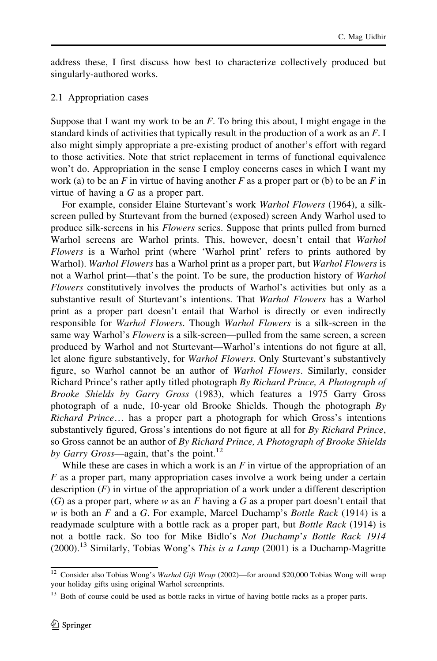address these, I first discuss how best to characterize collectively produced but singularly-authored works.

#### 2.1 Appropriation cases

Suppose that I want my work to be an  $F$ . To bring this about, I might engage in the standard kinds of activities that typically result in the production of a work as an  $F<sub>1</sub>$ . also might simply appropriate a pre-existing product of another's effort with regard to those activities. Note that strict replacement in terms of functional equivalence won't do. Appropriation in the sense I employ concerns cases in which I want my work (a) to be an F in virtue of having another F as a proper part or (b) to be an F in virtue of having a G as a proper part.

For example, consider Elaine Sturtevant's work Warhol Flowers (1964), a silkscreen pulled by Sturtevant from the burned (exposed) screen Andy Warhol used to produce silk-screens in his Flowers series. Suppose that prints pulled from burned Warhol screens are Warhol prints. This, however, doesn't entail that Warhol Flowers is a Warhol print (where 'Warhol print' refers to prints authored by Warhol). Warhol Flowers has a Warhol print as a proper part, but Warhol Flowers is not a Warhol print—that's the point. To be sure, the production history of Warhol Flowers constitutively involves the products of Warhol's activities but only as a substantive result of Sturtevant's intentions. That Warhol Flowers has a Warhol print as a proper part doesn't entail that Warhol is directly or even indirectly responsible for Warhol Flowers. Though Warhol Flowers is a silk-screen in the same way Warhol's Flowers is a silk-screen—pulled from the same screen, a screen produced by Warhol and not Sturtevant—Warhol's intentions do not figure at all, let alone figure substantively, for Warhol Flowers. Only Sturtevant's substantively figure, so Warhol cannot be an author of Warhol Flowers. Similarly, consider Richard Prince's rather aptly titled photograph By Richard Prince, A Photograph of Brooke Shields by Garry Gross (1983), which features a 1975 Garry Gross photograph of a nude, 10-year old Brooke Shields. Though the photograph By Richard Prince… has a proper part a photograph for which Gross's intentions substantively figured, Gross's intentions do not figure at all for  $By Richard Prince$ , so Gross cannot be an author of By Richard Prince, A Photograph of Brooke Shields by Garry Gross—again, that's the point. $^{12}$ 

While these are cases in which a work is an  $F$  in virtue of the appropriation of an  $F$  as a proper part, many appropriation cases involve a work being under a certain description  $(F)$  in virtue of the appropriation of a work under a different description  $(G)$  as a proper part, where w as an F having a G as a proper part doesn't entail that w is both an F and a G. For example, Marcel Duchamp's *Bottle Rack* (1914) is a readymade sculpture with a bottle rack as a proper part, but *Bottle Rack* (1914) is not a bottle rack. So too for Mike Bidlo's Not Duchamp's Bottle Rack 1914 (2000).<sup>13</sup> Similarly, Tobias Wong's *This is a Lamp* (2001) is a Duchamp-Magritte

<sup>&</sup>lt;sup>12</sup> Consider also Tobias Wong's Warhol Gift Wrap (2002)—for around \$20,000 Tobias Wong will wrap your holiday gifts using original Warhol screenprints.

<sup>&</sup>lt;sup>13</sup> Both of course could be used as bottle racks in virtue of having bottle racks as a proper parts.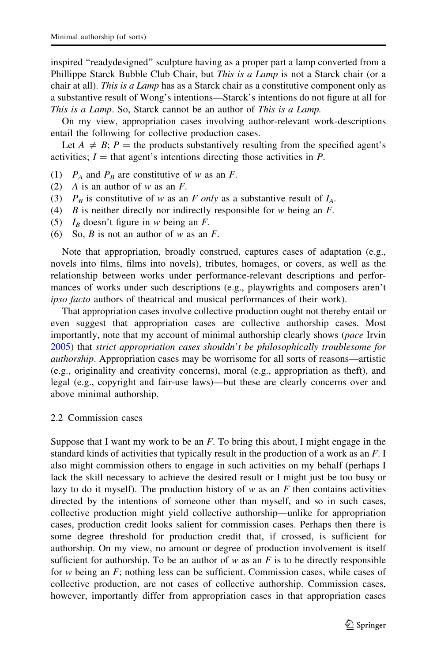inspired ''readydesigned'' sculpture having as a proper part a lamp converted from a Phillippe Starck Bubble Club Chair, but This is a Lamp is not a Starck chair (or a chair at all). This is a Lamp has as a Starck chair as a constitutive component only as a substantive result of Wong's intentions—Starck's intentions do not figure at all for This is a Lamp. So, Starck cannot be an author of This is a Lamp.

On my view, appropriation cases involving author-relevant work-descriptions entail the following for collective production cases.

Let  $A \neq B$ ;  $P =$  the products substantively resulting from the specified agent's activities;  $I =$  that agent's intentions directing those activities in P.

- (1)  $P_A$  and  $P_B$  are constitutive of w as an F.
- (2) A is an author of w as an  $F$ .
- (3)  $P_B$  is constitutive of w as an F only as a substantive result of  $I_A$ .
- (4)  $B$  is neither directly nor indirectly responsible for w being an  $F$ .
- (5)  $I_B$  doesn't figure in w being an F.
- (6) So,  $B$  is not an author of  $w$  as an  $F$ .

Note that appropriation, broadly construed, captures cases of adaptation (e.g., novels into films, films into novels), tributes, homages, or covers, as well as the relationship between works under performance-relevant descriptions and performances of works under such descriptions (e.g., playwrights and composers aren't ipso facto authors of theatrical and musical performances of their work).

That appropriation cases involve collective production ought not thereby entail or even suggest that appropriation cases are collective authorship cases. Most importantly, note that my account of minimal authorship clearly shows (pace Irvin [2005\)](#page-14-0) that strict appropriation cases shouldn't be philosophically troublesome for authorship. Appropriation cases may be worrisome for all sorts of reasons—artistic (e.g., originality and creativity concerns), moral (e.g., appropriation as theft), and legal (e.g., copyright and fair-use laws)—but these are clearly concerns over and above minimal authorship.

#### 2.2 Commission cases

Suppose that I want my work to be an  $F$ . To bring this about, I might engage in the standard kinds of activities that typically result in the production of a work as an  $F$ . I also might commission others to engage in such activities on my behalf (perhaps I lack the skill necessary to achieve the desired result or I might just be too busy or lazy to do it myself). The production history of  $w$  as an  $F$  then contains activities directed by the intentions of someone other than myself, and so in such cases, collective production might yield collective authorship—unlike for appropriation cases, production credit looks salient for commission cases. Perhaps then there is some degree threshold for production credit that, if crossed, is sufficient for authorship. On my view, no amount or degree of production involvement is itself sufficient for authorship. To be an author of  $w$  as an  $F$  is to be directly responsible for  $w$  being an  $F$ ; nothing less can be sufficient. Commission cases, while cases of collective production, are not cases of collective authorship. Commission cases, however, importantly differ from appropriation cases in that appropriation cases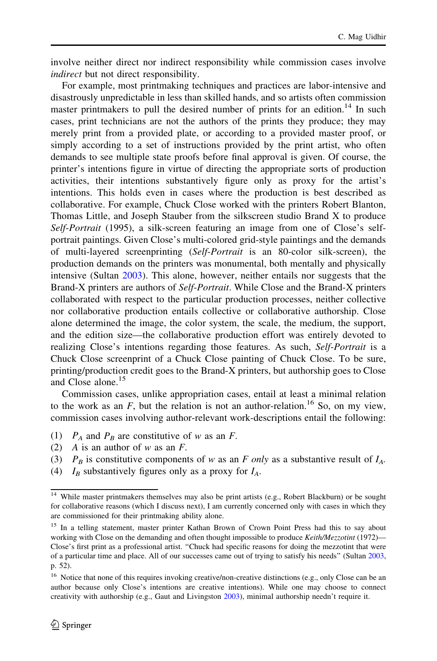involve neither direct nor indirect responsibility while commission cases involve indirect but not direct responsibility.

For example, most printmaking techniques and practices are labor-intensive and disastrously unpredictable in less than skilled hands, and so artists often commission master printmakers to pull the desired number of prints for an edition.<sup>14</sup> In such cases, print technicians are not the authors of the prints they produce; they may merely print from a provided plate, or according to a provided master proof, or simply according to a set of instructions provided by the print artist, who often demands to see multiple state proofs before final approval is given. Of course, the printer's intentions figure in virtue of directing the appropriate sorts of production activities, their intentions substantively figure only as proxy for the artist's intentions. This holds even in cases where the production is best described as collaborative. For example, Chuck Close worked with the printers Robert Blanton, Thomas Little, and Joseph Stauber from the silkscreen studio Brand X to produce Self-Portrait (1995), a silk-screen featuring an image from one of Close's selfportrait paintings. Given Close's multi-colored grid-style paintings and the demands of multi-layered screenprinting (Self-Portrait is an 80-color silk-screen), the production demands on the printers was monumental, both mentally and physically intensive (Sultan [2003](#page-14-0)). This alone, however, neither entails nor suggests that the Brand-X printers are authors of Self-Portrait. While Close and the Brand-X printers collaborated with respect to the particular production processes, neither collective nor collaborative production entails collective or collaborative authorship. Close alone determined the image, the color system, the scale, the medium, the support, and the edition size—the collaborative production effort was entirely devoted to realizing Close's intentions regarding those features. As such, Self-Portrait is a Chuck Close screenprint of a Chuck Close painting of Chuck Close. To be sure, printing/production credit goes to the Brand-X printers, but authorship goes to Close and Close alone.<sup>15</sup>

Commission cases, unlike appropriation cases, entail at least a minimal relation to the work as an F, but the relation is not an author-relation.<sup>16</sup> So, on my view, commission cases involving author-relevant work-descriptions entail the following:

- (1)  $P_A$  and  $P_B$  are constitutive of w as an F.
- (2) A is an author of w as an  $F$ .
- (3)  $P_B$  is constitutive components of w as an F only as a substantive result of  $I_A$ .
- (4)  $I_B$  substantively figures only as a proxy for  $I_A$ .

<sup>&</sup>lt;sup>14</sup> While master printmakers themselves may also be print artists (e.g., Robert Blackburn) or be sought for collaborative reasons (which I discuss next), I am currently concerned only with cases in which they are commissioned for their printmaking ability alone.

<sup>&</sup>lt;sup>15</sup> In a telling statement, master printer Kathan Brown of Crown Point Press had this to say about working with Close on the demanding and often thought impossible to produce *Keith/Mezzotint* (1972)— Close's first print as a professional artist. ''Chuck had specific reasons for doing the mezzotint that were of a particular time and place. All of our successes came out of trying to satisfy his needs'' (Sultan [2003](#page-14-0), p. 52).

<sup>&</sup>lt;sup>16</sup> Notice that none of this requires invoking creative/non-creative distinctions (e.g., only Close can be an author because only Close's intentions are creative intentions). While one may choose to connect creativity with authorship (e.g., Gaut and Livingston [2003](#page-14-0)), minimal authorship needn't require it.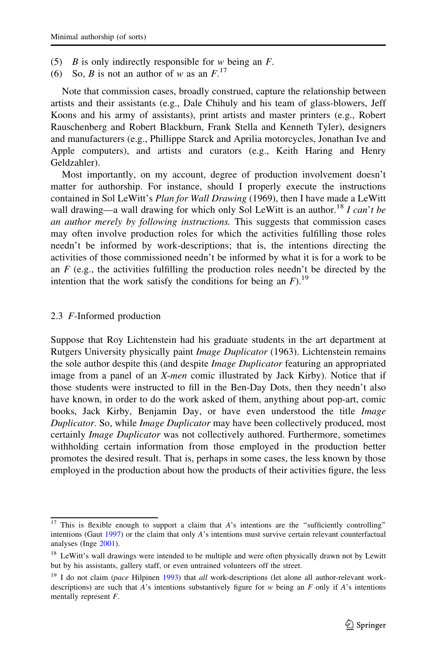- (5) B is only indirectly responsible for w being an  $F$ .
- (6) So, *B* is not an author of *w* as an  $F^{17}$ .

Note that commission cases, broadly construed, capture the relationship between artists and their assistants (e.g., Dale Chihuly and his team of glass-blowers, Jeff Koons and his army of assistants), print artists and master printers (e.g., Robert Rauschenberg and Robert Blackburn, Frank Stella and Kenneth Tyler), designers and manufacturers (e.g., Phillippe Starck and Aprilia motorcycles, Jonathan Ive and Apple computers), and artists and curators (e.g., Keith Haring and Henry Geldzahler).

Most importantly, on my account, degree of production involvement doesn't matter for authorship. For instance, should I properly execute the instructions contained in Sol LeWitt's Plan for Wall Drawing (1969), then I have made a LeWitt wall drawing—a wall drawing for which only Sol LeWitt is an author.<sup>18</sup> I can't be an author merely by following instructions. This suggests that commission cases may often involve production roles for which the activities fulfilling those roles needn't be informed by work-descriptions; that is, the intentions directing the activities of those commissioned needn't be informed by what it is for a work to be an  $F$  (e.g., the activities fulfilling the production roles needn't be directed by the intention that the work satisfy the conditions for being an  $F$ ).<sup>19</sup>

#### 2.3 F-Informed production

Suppose that Roy Lichtenstein had his graduate students in the art department at Rutgers University physically paint Image Duplicator (1963). Lichtenstein remains the sole author despite this (and despite *Image Duplicator* featuring an appropriated image from a panel of an X-men comic illustrated by Jack Kirby). Notice that if those students were instructed to fill in the Ben-Day Dots, then they needn't also have known, in order to do the work asked of them, anything about pop-art, comic books, Jack Kirby, Benjamin Day, or have even understood the title Image Duplicator. So, while *Image Duplicator* may have been collectively produced, most certainly Image Duplicator was not collectively authored. Furthermore, sometimes withholding certain information from those employed in the production better promotes the desired result. That is, perhaps in some cases, the less known by those employed in the production about how the products of their activities figure, the less

<sup>&</sup>lt;sup>17</sup> This is flexible enough to support a claim that A's intentions are the "sufficiently controlling" intentions (Gaut [1997](#page-14-0)) or the claim that only A's intentions must survive certain relevant counterfactual analyses (Inge [2001](#page-14-0)).

<sup>&</sup>lt;sup>18</sup> LeWitt's wall drawings were intended to be multiple and were often physically drawn not by Lewitt but by his assistants, gallery staff, or even untrained volunteers off the street.

<sup>&</sup>lt;sup>19</sup> I do not claim (pace Hilpinen [1993](#page-14-0)) that all work-descriptions (let alone all author-relevant workdescriptions) are such that A's intentions substantively figure for w being an  $F$  only if A's intentions mentally represent F.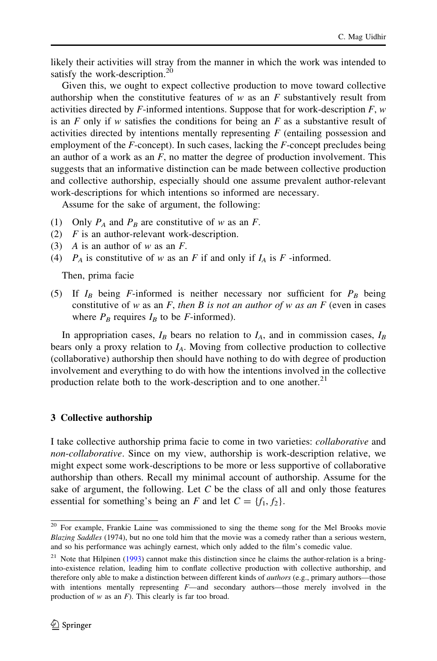<span id="page-9-0"></span>likely their activities will stray from the manner in which the work was intended to satisfy the work-description.<sup>20</sup>

Given this, we ought to expect collective production to move toward collective authorship when the constitutive features of  $w$  as an  $F$  substantively result from activities directed by  $F$ -informed intentions. Suppose that for work-description  $F$ ,  $w$ is an F only if w satisfies the conditions for being an F as a substantive result of activities directed by intentions mentally representing  $F$  (entailing possession and employment of the  $F$ -concept). In such cases, lacking the  $F$ -concept precludes being an author of a work as an  $F$ , no matter the degree of production involvement. This suggests that an informative distinction can be made between collective production and collective authorship, especially should one assume prevalent author-relevant work-descriptions for which intentions so informed are necessary.

Assume for the sake of argument, the following:

- (1) Only  $P_A$  and  $P_B$  are constitutive of w as an F.
- (2)  $F$  is an author-relevant work-description.
- (3) A is an author of w as an  $F$ .
- (4)  $P_A$  is constitutive of w as an F if and only if  $I_A$  is F -informed.

Then, prima facie

(5) If  $I_B$  being F-informed is neither necessary nor sufficient for  $P_B$  being constitutive of w as an  $F$ , then  $B$  is not an author of w as an  $F$  (even in cases where  $P_B$  requires  $I_B$  to be *F*-informed).

In appropriation cases,  $I_B$  bears no relation to  $I_A$ , and in commission cases,  $I_B$ bears only a proxy relation to  $I_A$ . Moving from collective production to collective (collaborative) authorship then should have nothing to do with degree of production involvement and everything to do with how the intentions involved in the collective production relate both to the work-description and to one another. $21$ 

## 3 Collective authorship

I take collective authorship prima facie to come in two varieties: collaborative and non-collaborative. Since on my view, authorship is work-description relative, we might expect some work-descriptions to be more or less supportive of collaborative authorship than others. Recall my minimal account of authorship. Assume for the sake of argument, the following. Let  $C$  be the class of all and only those features essential for something's being an F and let  $C = \{f_1, f_2\}.$ 

<sup>&</sup>lt;sup>20</sup> For example, Frankie Laine was commissioned to sing the theme song for the Mel Brooks movie Blazing Saddles (1974), but no one told him that the movie was a comedy rather than a serious western, and so his performance was achingly earnest, which only added to the film's comedic value.

<sup>&</sup>lt;sup>21</sup> Note that Hilpinen [\(1993](#page-14-0)) cannot make this distinction since he claims the author-relation is a bringinto-existence relation, leading him to conflate collective production with collective authorship, and therefore only able to make a distinction between different kinds of *authors* (e.g., primary authors—those with intentions mentally representing  $F$ —and secondary authors—those merely involved in the production of  $w$  as an  $F$ ). This clearly is far too broad.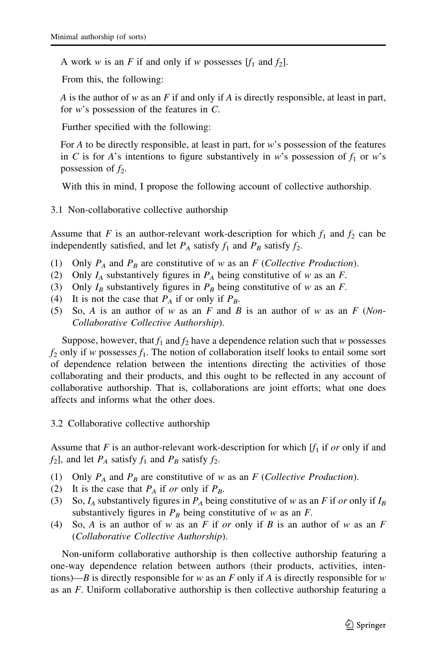A work w is an F if and only if w possesses  $[f_1 \text{ and } f_2]$ .

From this, the following:

A is the author of  $w$  as an  $F$  if and only if  $A$  is directly responsible, at least in part, for  $w$ 's possession of the features in  $C$ .

Further specified with the following:

For A to be directly responsible, at least in part, for w's possession of the features in C is for A's intentions to figure substantively in w's possession of  $f_1$  or w's possession of  $f_2$ .

With this in mind, I propose the following account of collective authorship.

3.1 Non-collaborative collective authorship

Assume that F is an author-relevant work-description for which  $f_1$  and  $f_2$  can be independently satisfied, and let  $P_A$  satisfy  $f_1$  and  $P_B$  satisfy  $f_2$ .

- (1) Only  $P_A$  and  $P_B$  are constitutive of w as an F (Collective Production).
- (2) Only  $I_A$  substantively figures in  $P_A$  being constitutive of w as an F.
- (3) Only  $I_B$  substantively figures in  $P_B$  being constitutive of w as an F.
- (4) It is not the case that  $P_A$  if or only if  $P_B$ .
- (5) So, A is an author of w as an F and B is an author of w as an F (Non-Collaborative Collective Authorship).

Suppose, however, that  $f_1$  and  $f_2$  have a dependence relation such that w possesses  $f_2$  only if w possesses  $f_1$ . The notion of collaboration itself looks to entail some sort of dependence relation between the intentions directing the activities of those collaborating and their products, and this ought to be reflected in any account of collaborative authorship. That is, collaborations are joint efforts; what one does affects and informs what the other does.

3.2 Collaborative collective authorship

Assume that F is an author-relevant work-description for which  $[f_1]$  if or only if and  $f_2$ ], and let  $P_A$  satisfy  $f_1$  and  $P_B$  satisfy  $f_2$ .

- (1) Only  $P_A$  and  $P_B$  are constitutive of w as an F (Collective Production).
- (2) It is the case that  $P_A$  if or only if  $P_B$ .
- (3) So,  $I_A$  substantively figures in  $P_A$  being constitutive of w as an F if or only if  $I_B$ substantively figures in  $P_B$  being constitutive of w as an F.
- (4) So, A is an author of w as an F if or only if B is an author of w as an F (Collaborative Collective Authorship).

Non-uniform collaborative authorship is then collective authorship featuring a one-way dependence relation between authors (their products, activities, intentions)—B is directly responsible for w as an F only if A is directly responsible for w as an F. Uniform collaborative authorship is then collective authorship featuring a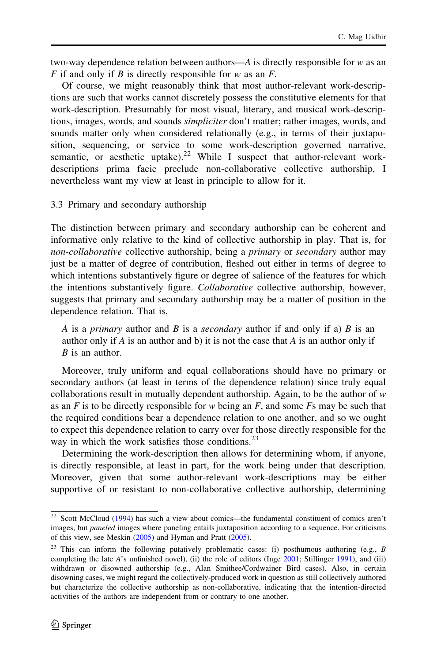two-way dependence relation between authors—A is directly responsible for  $w$  as an F if and only if B is directly responsible for w as an F.

Of course, we might reasonably think that most author-relevant work-descriptions are such that works cannot discretely possess the constitutive elements for that work-description. Presumably for most visual, literary, and musical work-descriptions, images, words, and sounds *simpliciter* don't matter; rather images, words, and sounds matter only when considered relationally (e.g., in terms of their juxtaposition, sequencing, or service to some work-description governed narrative, semantic, or aesthetic uptake).<sup>22</sup> While I suspect that author-relevant workdescriptions prima facie preclude non-collaborative collective authorship, I nevertheless want my view at least in principle to allow for it.

3.3 Primary and secondary authorship

The distinction between primary and secondary authorship can be coherent and informative only relative to the kind of collective authorship in play. That is, for non-collaborative collective authorship, being a primary or secondary author may just be a matter of degree of contribution, fleshed out either in terms of degree to which intentions substantively figure or degree of salience of the features for which the intentions substantively figure. Collaborative collective authorship, however, suggests that primary and secondary authorship may be a matter of position in the dependence relation. That is,

A is a *primary* author and B is a *secondary* author if and only if a) B is an author only if A is an author and b) it is not the case that A is an author only if B is an author.

Moreover, truly uniform and equal collaborations should have no primary or secondary authors (at least in terms of the dependence relation) since truly equal collaborations result in mutually dependent authorship. Again, to be the author of  $w$ as an F is to be directly responsible for w being an F, and some Fs may be such that the required conditions bear a dependence relation to one another, and so we ought to expect this dependence relation to carry over for those directly responsible for the way in which the work satisfies those conditions.<sup>23</sup>

Determining the work-description then allows for determining whom, if anyone, is directly responsible, at least in part, for the work being under that description. Moreover, given that some author-relevant work-descriptions may be either supportive of or resistant to non-collaborative collective authorship, determining

<sup>&</sup>lt;sup>22</sup> Scott McCloud [\(1994](#page-14-0)) has such a view about comics—the fundamental constituent of comics aren't images, but *paneled* images where paneling entails juxtaposition according to a sequence. For criticisms of this view, see Meskin ([2005](#page-14-0)) and Hyman and Pratt ([2005](#page-14-0)).

 $23$  This can inform the following putatively problematic cases: (i) posthumous authoring (e.g.,  $B$ completing the late A's unfinished novel), (ii) the role of editors (Inge [2001](#page-14-0); Stillinger [1991\)](#page-14-0), and (iii) withdrawn or disowned authorship (e.g., Alan Smithee/Cordwainer Bird cases). Also, in certain disowning cases, we might regard the collectively-produced work in question as still collectively authored but characterize the collective authorship as non-collaborative, indicating that the intention-directed activities of the authors are independent from or contrary to one another.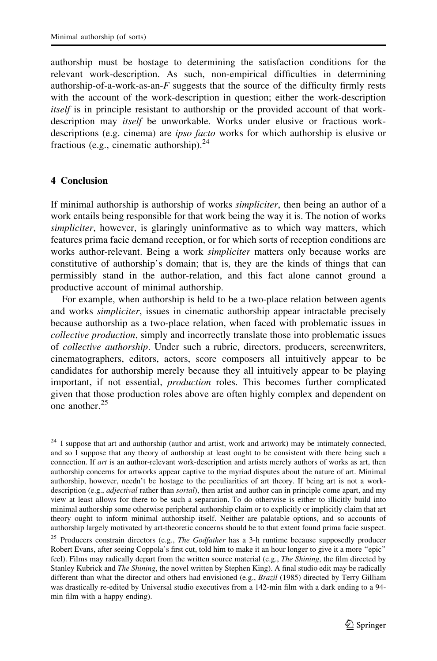authorship must be hostage to determining the satisfaction conditions for the relevant work-description. As such, non-empirical difficulties in determining authorship-of-a-work-as-an- $F$  suggests that the source of the difficulty firmly rests with the account of the work-description in question; either the work-description itself is in principle resistant to authorship or the provided account of that workdescription may *itself* be unworkable. Works under elusive or fractious workdescriptions (e.g. cinema) are *ipso facto* works for which authorship is elusive or fractious (e.g., cinematic authorship).  $^{24}$ 

# 4 Conclusion

If minimal authorship is authorship of works *simpliciter*, then being an author of a work entails being responsible for that work being the way it is. The notion of works simpliciter, however, is glaringly uninformative as to which way matters, which features prima facie demand reception, or for which sorts of reception conditions are works author-relevant. Being a work *simpliciter* matters only because works are constitutive of authorship's domain; that is, they are the kinds of things that can permissibly stand in the author-relation, and this fact alone cannot ground a productive account of minimal authorship.

For example, when authorship is held to be a two-place relation between agents and works simpliciter, issues in cinematic authorship appear intractable precisely because authorship as a two-place relation, when faced with problematic issues in collective production, simply and incorrectly translate those into problematic issues of collective authorship. Under such a rubric, directors, producers, screenwriters, cinematographers, editors, actors, score composers all intuitively appear to be candidates for authorship merely because they all intuitively appear to be playing important, if not essential, production roles. This becomes further complicated given that those production roles above are often highly complex and dependent on one another.<sup>25</sup>

 $24$  I suppose that art and authorship (author and artist, work and artwork) may be intimately connected, and so I suppose that any theory of authorship at least ought to be consistent with there being such a connection. If art is an author-relevant work-description and artists merely authors of works as art, then authorship concerns for artworks appear captive to the myriad disputes about the nature of art. Minimal authorship, however, needn't be hostage to the peculiarities of art theory. If being art is not a workdescription (e.g., *adjectival* rather than *sortal*), then artist and author can in principle come apart, and my view at least allows for there to be such a separation. To do otherwise is either to illicitly build into minimal authorship some otherwise peripheral authorship claim or to explicitly or implicitly claim that art theory ought to inform minimal authorship itself. Neither are palatable options, and so accounts of authorship largely motivated by art-theoretic concerns should be to that extent found prima facie suspect.

<sup>&</sup>lt;sup>25</sup> Producers constrain directors (e.g., *The Godfather* has a 3-h runtime because supposedly producer Robert Evans, after seeing Coppola's first cut, told him to make it an hour longer to give it a more ''epic'' feel). Films may radically depart from the written source material (e.g., *The Shining*, the film directed by Stanley Kubrick and The Shining, the novel written by Stephen King). A final studio edit may be radically different than what the director and others had envisioned (e.g., Brazil (1985) directed by Terry Gilliam was drastically re-edited by Universal studio executives from a 142-min film with a dark ending to a 94 min film with a happy ending).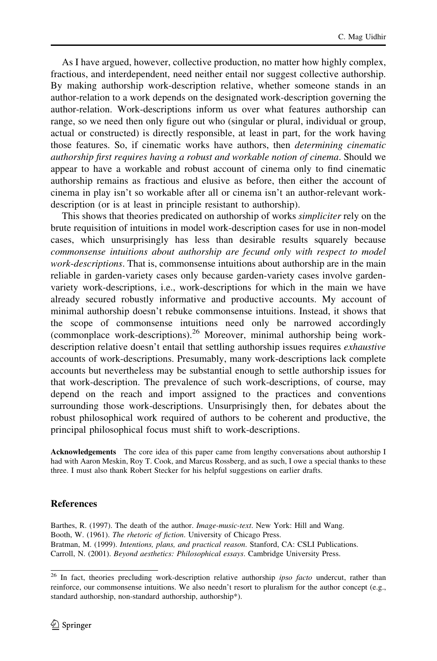<span id="page-13-0"></span>As I have argued, however, collective production, no matter how highly complex, fractious, and interdependent, need neither entail nor suggest collective authorship. By making authorship work-description relative, whether someone stands in an author-relation to a work depends on the designated work-description governing the author-relation. Work-descriptions inform us over what features authorship can range, so we need then only figure out who (singular or plural, individual or group, actual or constructed) is directly responsible, at least in part, for the work having those features. So, if cinematic works have authors, then determining cinematic authorship first requires having a robust and workable notion of cinema. Should we appear to have a workable and robust account of cinema only to find cinematic authorship remains as fractious and elusive as before, then either the account of cinema in play isn't so workable after all or cinema isn't an author-relevant workdescription (or is at least in principle resistant to authorship).

This shows that theories predicated on authorship of works *simpliciter* rely on the brute requisition of intuitions in model work-description cases for use in non-model cases, which unsurprisingly has less than desirable results squarely because commonsense intuitions about authorship are fecund only with respect to model work-descriptions. That is, commonsense intuitions about authorship are in the main reliable in garden-variety cases only because garden-variety cases involve gardenvariety work-descriptions, i.e., work-descriptions for which in the main we have already secured robustly informative and productive accounts. My account of minimal authorship doesn't rebuke commonsense intuitions. Instead, it shows that the scope of commonsense intuitions need only be narrowed accordingly (commonplace work-descriptions).<sup>26</sup> Moreover, minimal authorship being workdescription relative doesn't entail that settling authorship issues requires *exhaustive* accounts of work-descriptions. Presumably, many work-descriptions lack complete accounts but nevertheless may be substantial enough to settle authorship issues for that work-description. The prevalence of such work-descriptions, of course, may depend on the reach and import assigned to the practices and conventions surrounding those work-descriptions. Unsurprisingly then, for debates about the robust philosophical work required of authors to be coherent and productive, the principal philosophical focus must shift to work-descriptions.

Acknowledgements The core idea of this paper came from lengthy conversations about authorship I had with Aaron Meskin, Roy T. Cook, and Marcus Rossberg, and as such, I owe a special thanks to these three. I must also thank Robert Stecker for his helpful suggestions on earlier drafts.

# References

Barthes, R. (1997). The death of the author. Image-music-text. New York: Hill and Wang. Booth, W. (1961). The rhetoric of fiction. University of Chicago Press. Bratman, M. (1999). Intentions, plans, and practical reason. Stanford, CA: CSLI Publications. Carroll, N. (2001). Beyond aesthetics: Philosophical essays. Cambridge University Press.

<sup>&</sup>lt;sup>26</sup> In fact, theories precluding work-description relative authorship *ipso facto* undercut, rather than reinforce, our commonsense intuitions. We also needn't resort to pluralism for the author concept (e.g., standard authorship, non-standard authorship, authorship\*).